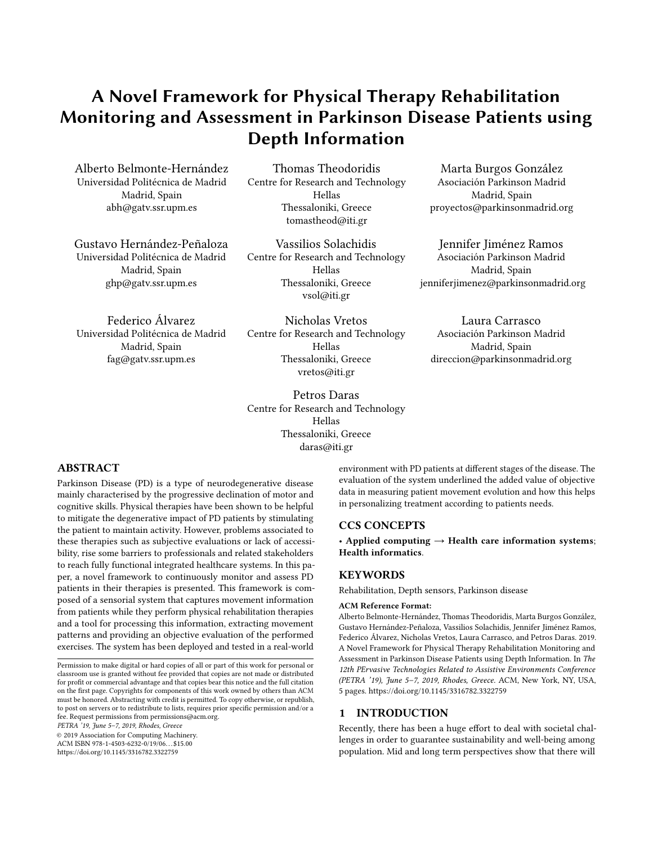# A Novel Framework for Physical Therapy Rehabilitation Monitoring and Assessment in Parkinson Disease Patients using Depth Information

Alberto Belmonte-Hernández Universidad Politécnica de Madrid Madrid, Spain abh@gatv.ssr.upm.es

Gustavo Hernández-Peñaloza Universidad Politécnica de Madrid Madrid, Spain ghp@gatv.ssr.upm.es

Thomas Theodoridis Centre for Research and Technology Hellas Thessaloniki, Greece tomastheod@iti.gr

Vassilios Solachidis Centre for Research and Technology Hellas Thessaloniki, Greece vsol@iti.gr

Federico Álvarez Universidad Politécnica de Madrid Madrid, Spain fag@gatv.ssr.upm.es

Nicholas Vretos Centre for Research and Technology Hellas Thessaloniki, Greece vretos@iti.gr

Petros Daras Centre for Research and Technology Hellas Thessaloniki, Greece daras@iti.gr

Marta Burgos González Asociación Parkinson Madrid Madrid, Spain proyectos@parkinsonmadrid.org

Jennifer Jiménez Ramos Asociación Parkinson Madrid Madrid, Spain jenniferjimenez@parkinsonmadrid.org

Laura Carrasco Asociación Parkinson Madrid Madrid, Spain direccion@parkinsonmadrid.org

# ABSTRACT

Parkinson Disease (PD) is a type of neurodegenerative disease mainly characterised by the progressive declination of motor and cognitive skills. Physical therapies have been shown to be helpful to mitigate the degenerative impact of PD patients by stimulating the patient to maintain activity. However, problems associated to these therapies such as subjective evaluations or lack of accessibility, rise some barriers to professionals and related stakeholders to reach fully functional integrated healthcare systems. In this paper, a novel framework to continuously monitor and assess PD patients in their therapies is presented. This framework is composed of a sensorial system that captures movement information from patients while they perform physical rehabilitation therapies and a tool for processing this information, extracting movement patterns and providing an objective evaluation of the performed exercises. The system has been deployed and tested in a real-world

Permission to make digital or hard copies of all or part of this work for personal or classroom use is granted without fee provided that copies are not made or distributed for profit or commercial advantage and that copies bear this notice and the full citation on the first page. Copyrights for components of this work owned by others than ACM must be honored. Abstracting with credit is permitted. To copy otherwise, or republish, to post on servers or to redistribute to lists, requires prior specific permission and/or a fee. Request permissions from permissions@acm.org.

PETRA '19, June 5–7, 2019, Rhodes, Greece

© 2019 Association for Computing Machinery.

ACM ISBN 978-1-4503-6232-0/19/06. . . \$15.00 <https://doi.org/10.1145/3316782.3322759>

environment with PD patients at different stages of the disease. The evaluation of the system underlined the added value of objective data in measuring patient movement evolution and how this helps in personalizing treatment according to patients needs.

## CCS CONCEPTS

• Applied computing  $\rightarrow$  Health care information systems; Health informatics.

## **KEYWORDS**

Rehabilitation, Depth sensors, Parkinson disease

#### ACM Reference Format:

Alberto Belmonte-Hernández, Thomas Theodoridis, Marta Burgos González, Gustavo Hernández-Peñaloza, Vassilios Solachidis, Jennifer Jiménez Ramos, Federico Álvarez, Nicholas Vretos, Laura Carrasco, and Petros Daras. 2019. A Novel Framework for Physical Therapy Rehabilitation Monitoring and Assessment in Parkinson Disease Patients using Depth Information. In The 12th PErvasive Technologies Related to Assistive Environments Conference (PETRA '19), June 5–7, 2019, Rhodes, Greece. ACM, New York, NY, USA, [5](#page-4-0) pages.<https://doi.org/10.1145/3316782.3322759>

## 1 INTRODUCTION

Recently, there has been a huge effort to deal with societal challenges in order to guarantee sustainability and well-being among population. Mid and long term perspectives show that there will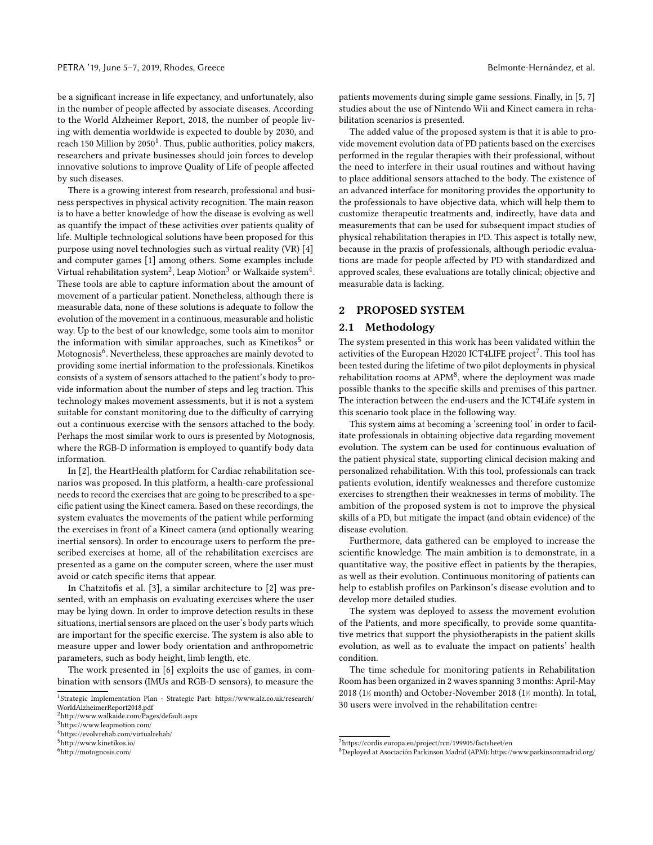be a significant increase in life expectancy, and unfortunately, also in the number of people affected by associate diseases. According to the World Alzheimer Report, 2018, the number of people living with dementia worldwide is expected to double by 2030, and reach [1](#page-1-0)50 Million by 2050 $^1$ . Thus, public authorities, policy makers, researchers and private businesses should join forces to develop innovative solutions to improve Quality of Life of people affected by such diseases.

There is a growing interest from research, professional and business perspectives in physical activity recognition. The main reason is to have a better knowledge of how the disease is evolving as well as quantify the impact of these activities over patients quality of life. Multiple technological solutions have been proposed for this purpose using novel technologies such as virtual reality (VR) [\[4\]](#page-4-1) and computer games [\[1\]](#page-4-2) among others. Some examples include Virtual rehabilitation system $^2$  $^2$ , Leap Motion $^3$  $^3$  or Walkaide system $^4$  $^4$ . These tools are able to capture information about the amount of movement of a particular patient. Nonetheless, although there is measurable data, none of these solutions is adequate to follow the evolution of the movement in a continuous, measurable and holistic way. Up to the best of our knowledge, some tools aim to monitor the information with similar approaches, such as Kinetikos<sup>[5](#page-1-4)</sup> or Motognosis $^6$  $^6$ . Nevertheless, these approaches are mainly devoted to providing some inertial information to the professionals. Kinetikos consists of a system of sensors attached to the patient's body to provide information about the number of steps and leg traction. This technology makes movement assessments, but it is not a system suitable for constant monitoring due to the difficulty of carrying out a continuous exercise with the sensors attached to the body. Perhaps the most similar work to ours is presented by Motognosis, where the RGB-D information is employed to quantify body data information.

In [\[2\]](#page-4-3), the HeartHealth platform for Cardiac rehabilitation scenarios was proposed. In this platform, a health-care professional needs to record the exercises that are going to be prescribed to a specific patient using the Kinect camera. Based on these recordings, the system evaluates the movements of the patient while performing the exercises in front of a Kinect camera (and optionally wearing inertial sensors). In order to encourage users to perform the prescribed exercises at home, all of the rehabilitation exercises are presented as a game on the computer screen, where the user must avoid or catch specific items that appear.

In Chatzitofis et al. [\[3\]](#page-4-4), a similar architecture to [\[2\]](#page-4-3) was presented, with an emphasis on evaluating exercises where the user may be lying down. In order to improve detection results in these situations, inertial sensors are placed on the user's body parts which are important for the specific exercise. The system is also able to measure upper and lower body orientation and anthropometric parameters, such as body height, limb length, etc.

The work presented in [\[6\]](#page-4-5) exploits the use of games, in combination with sensors (IMUs and RGB-D sensors), to measure the

patients movements during simple game sessions. Finally, in [\[5,](#page-4-6) [7\]](#page-4-7) studies about the use of Nintendo Wii and Kinect camera in rehabilitation scenarios is presented.

The added value of the proposed system is that it is able to provide movement evolution data of PD patients based on the exercises performed in the regular therapies with their professional, without the need to interfere in their usual routines and without having to place additional sensors attached to the body. The existence of an advanced interface for monitoring provides the opportunity to the professionals to have objective data, which will help them to customize therapeutic treatments and, indirectly, have data and measurements that can be used for subsequent impact studies of physical rehabilitation therapies in PD. This aspect is totally new, because in the praxis of professionals, although periodic evaluations are made for people affected by PD with standardized and approved scales, these evaluations are totally clinical; objective and measurable data is lacking.

#### 2 PROPOSED SYSTEM

## 2.1 Methodology

The system presented in this work has been validated within the activities of the European H2020 ICT4LIFE project<sup>[7](#page-1-6)</sup>. This tool has been tested during the lifetime of two pilot deployments in physical rehabilitation rooms at  $APM^8$  $APM^8$ , where the deployment was made possible thanks to the specific skills and premises of this partner. The interaction between the end-users and the ICT4Life system in this scenario took place in the following way.

This system aims at becoming a 'screening tool' in order to facilitate professionals in obtaining objective data regarding movement evolution. The system can be used for continuous evaluation of the patient physical state, supporting clinical decision making and personalized rehabilitation. With this tool, professionals can track patients evolution, identify weaknesses and therefore customize exercises to strengthen their weaknesses in terms of mobility. The ambition of the proposed system is not to improve the physical skills of a PD, but mitigate the impact (and obtain evidence) of the disease evolution.

Furthermore, data gathered can be employed to increase the scientific knowledge. The main ambition is to demonstrate, in a quantitative way, the positive effect in patients by the therapies, as well as their evolution. Continuous monitoring of patients can help to establish profiles on Parkinson's disease evolution and to develop more detailed studies.

The system was deployed to assess the movement evolution of the Patients, and more specifically, to provide some quantitative metrics that support the physiotherapists in the patient skills evolution, as well as to evaluate the impact on patients' health condition.

The time schedule for monitoring patients in Rehabilitation Room has been organized in 2 waves spanning 3 months: April-May 2018 (1½ month) and October-November 2018 (1½ month). In total, 30 users were involved in the rehabilitation centre:

<span id="page-1-0"></span><sup>&</sup>lt;sup>1</sup>Strategic Implementation Plan - Strategic Part: [https://www.alz.co.uk/research/](https://www.alz.co.uk/research/WorldAlzheimerReport2018.pdf) [WorldAlzheimerReport2018.pdf](https://www.alz.co.uk/research/WorldAlzheimerReport2018.pdf)

<span id="page-1-1"></span><sup>2</sup><http://www.walkaide.com/Pages/default.aspx>

<span id="page-1-2"></span><sup>3</sup><https://www.leapmotion.com/>

<span id="page-1-3"></span><sup>4</sup><https://evolvrehab.com/virtualrehab/>

<span id="page-1-4"></span><sup>5</sup><http://www.kinetikos.io/>

<span id="page-1-5"></span><sup>6</sup><http://motognosis.com/>

<span id="page-1-6"></span> $^7$ https://cordis.europa.eu/project/rcn/199905/factsheet/en

<span id="page-1-7"></span><sup>8</sup>Deployed at Asociación Parkinson Madrid (APM):<https://www.parkinsonmadrid.org/>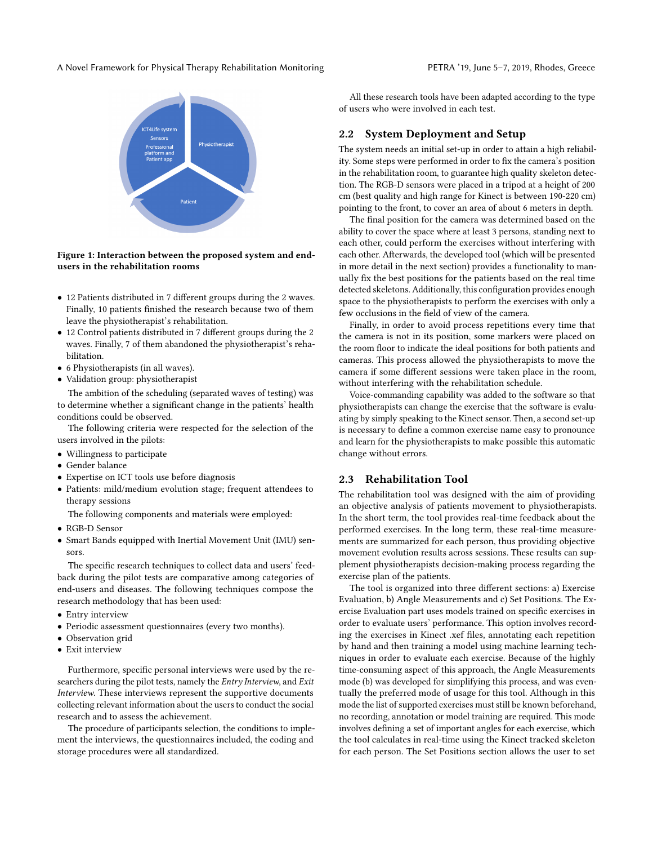A Novel Framework for Physical Therapy Rehabilitation Monitoring PETRA '19, June 5–7, 2019, Rhodes, Greece



Figure 1: Interaction between the proposed system and endusers in the rehabilitation rooms

- 12 Patients distributed in 7 different groups during the 2 waves. Finally, 10 patients finished the research because two of them leave the physiotherapist's rehabilitation.
- 12 Control patients distributed in 7 different groups during the 2 waves. Finally, 7 of them abandoned the physiotherapist's rehabilitation.
- 6 Physiotherapists (in all waves).
- Validation group: physiotherapist

The ambition of the scheduling (separated waves of testing) was to determine whether a significant change in the patients' health conditions could be observed.

The following criteria were respected for the selection of the users involved in the pilots:

- Willingness to participate
- Gender balance
- Expertise on ICT tools use before diagnosis
- Patients: mild/medium evolution stage; frequent attendees to therapy sessions

The following components and materials were employed:

- RGB-D Sensor
- Smart Bands equipped with Inertial Movement Unit (IMU) sensors.

The specific research techniques to collect data and users' feedback during the pilot tests are comparative among categories of end-users and diseases. The following techniques compose the research methodology that has been used:

- Entry interview
- Periodic assessment questionnaires (every two months).
- Observation grid
- Exit interview

Furthermore, specific personal interviews were used by the researchers during the pilot tests, namely the Entry Interview, and Exit Interview. These interviews represent the supportive documents collecting relevant information about the users to conduct the social research and to assess the achievement.

The procedure of participants selection, the conditions to implement the interviews, the questionnaires included, the coding and storage procedures were all standardized.

All these research tools have been adapted according to the type of users who were involved in each test.

## 2.2 System Deployment and Setup

The system needs an initial set-up in order to attain a high reliability. Some steps were performed in order to fix the camera's position in the rehabilitation room, to guarantee high quality skeleton detection. The RGB-D sensors were placed in a tripod at a height of 200 cm (best quality and high range for Kinect is between 190-220 cm) pointing to the front, to cover an area of about 6 meters in depth.

The final position for the camera was determined based on the ability to cover the space where at least 3 persons, standing next to each other, could perform the exercises without interfering with each other. Afterwards, the developed tool (which will be presented in more detail in the next section) provides a functionality to manually fix the best positions for the patients based on the real time detected skeletons. Additionally, this configuration provides enough space to the physiotherapists to perform the exercises with only a few occlusions in the field of view of the camera.

Finally, in order to avoid process repetitions every time that the camera is not in its position, some markers were placed on the room floor to indicate the ideal positions for both patients and cameras. This process allowed the physiotherapists to move the camera if some different sessions were taken place in the room, without interfering with the rehabilitation schedule.

Voice-commanding capability was added to the software so that physiotherapists can change the exercise that the software is evaluating by simply speaking to the Kinect sensor. Then, a second set-up is necessary to define a common exercise name easy to pronounce and learn for the physiotherapists to make possible this automatic change without errors.

#### 2.3 Rehabilitation Tool

The rehabilitation tool was designed with the aim of providing an objective analysis of patients movement to physiotherapists. In the short term, the tool provides real-time feedback about the performed exercises. In the long term, these real-time measurements are summarized for each person, thus providing objective movement evolution results across sessions. These results can supplement physiotherapists decision-making process regarding the exercise plan of the patients.

The tool is organized into three different sections: a) Exercise Evaluation, b) Angle Measurements and c) Set Positions. The Exercise Evaluation part uses models trained on specific exercises in order to evaluate users' performance. This option involves recording the exercises in Kinect .xef files, annotating each repetition by hand and then training a model using machine learning techniques in order to evaluate each exercise. Because of the highly time-consuming aspect of this approach, the Angle Measurements mode (b) was developed for simplifying this process, and was eventually the preferred mode of usage for this tool. Although in this mode the list of supported exercises must still be known beforehand, no recording, annotation or model training are required. This mode involves defining a set of important angles for each exercise, which the tool calculates in real-time using the Kinect tracked skeleton for each person. The Set Positions section allows the user to set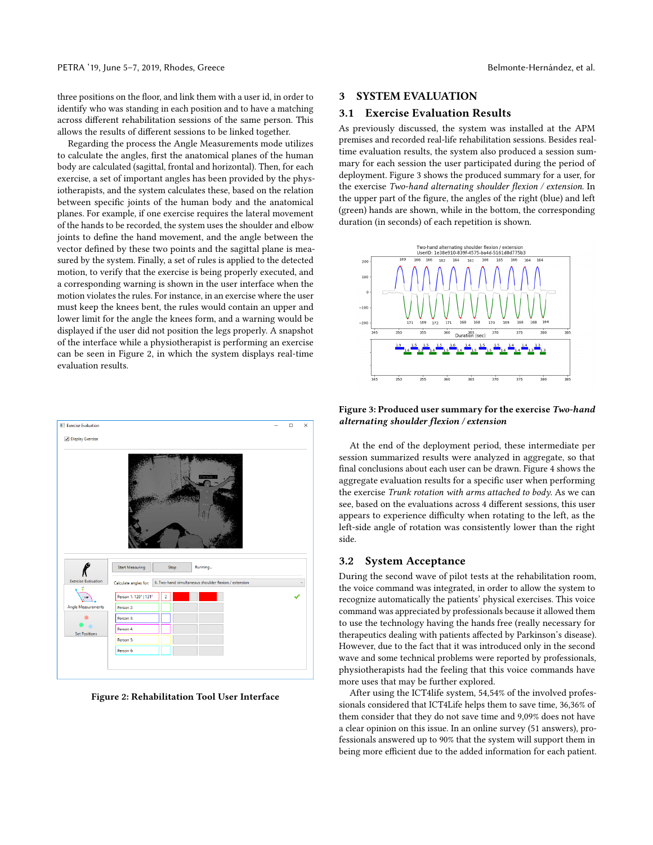three positions on the floor, and link them with a user id, in order to identify who was standing in each position and to have a matching across different rehabilitation sessions of the same person. This allows the results of different sessions to be linked together.

Regarding the process the Angle Measurements mode utilizes to calculate the angles, first the anatomical planes of the human body are calculated (sagittal, frontal and horizontal). Then, for each exercise, a set of important angles has been provided by the physiotherapists, and the system calculates these, based on the relation between specific joints of the human body and the anatomical planes. For example, if one exercise requires the lateral movement of the hands to be recorded, the system uses the shoulder and elbow joints to define the hand movement, and the angle between the vector defined by these two points and the sagittal plane is measured by the system. Finally, a set of rules is applied to the detected motion, to verify that the exercise is being properly executed, and a corresponding warning is shown in the user interface when the motion violates the rules. For instance, in an exercise where the user must keep the knees bent, the rules would contain an upper and lower limit for the angle the knees form, and a warning would be displayed if the user did not position the legs properly. A snapshot of the interface while a physiotherapist is performing an exercise can be seen in Figure [2,](#page-3-0) in which the system displays real-time evaluation results.

<span id="page-3-0"></span>

Figure 2: Rehabilitation Tool User Interface

#### 3 SYSTEM EVALUATION

#### 3.1 Exercise Evaluation Results

As previously discussed, the system was installed at the APM premises and recorded real-life rehabilitation sessions. Besides realtime evaluation results, the system also produced a session summary for each session the user participated during the period of deployment. Figure [3](#page-3-1) shows the produced summary for a user, for the exercise Two-hand alternating shoulder flexion / extension. In the upper part of the figure, the angles of the right (blue) and left (green) hands are shown, while in the bottom, the corresponding duration (in seconds) of each repetition is shown.

<span id="page-3-1"></span>

Figure 3: Produced user summary for the exercise Two-hand alternating shoulder flexion / extension

At the end of the deployment period, these intermediate per session summarized results were analyzed in aggregate, so that final conclusions about each user can be drawn. Figure [4](#page-4-8) shows the aggregate evaluation results for a specific user when performing the exercise Trunk rotation with arms attached to body. As we can see, based on the evaluations across 4 different sessions, this user appears to experience difficulty when rotating to the left, as the left-side angle of rotation was consistently lower than the right side.

#### 3.2 System Acceptance

During the second wave of pilot tests at the rehabilitation room, the voice command was integrated, in order to allow the system to recognize automatically the patients' physical exercises. This voice command was appreciated by professionals because it allowed them to use the technology having the hands free (really necessary for therapeutics dealing with patients affected by Parkinson's disease). However, due to the fact that it was introduced only in the second wave and some technical problems were reported by professionals, physiotherapists had the feeling that this voice commands have more uses that may be further explored.

After using the ICT4life system, 54,54% of the involved professionals considered that ICT4Life helps them to save time, 36,36% of them consider that they do not save time and 9,09% does not have a clear opinion on this issue. In an online survey (51 answers), professionals answered up to 90% that the system will support them in being more efficient due to the added information for each patient.